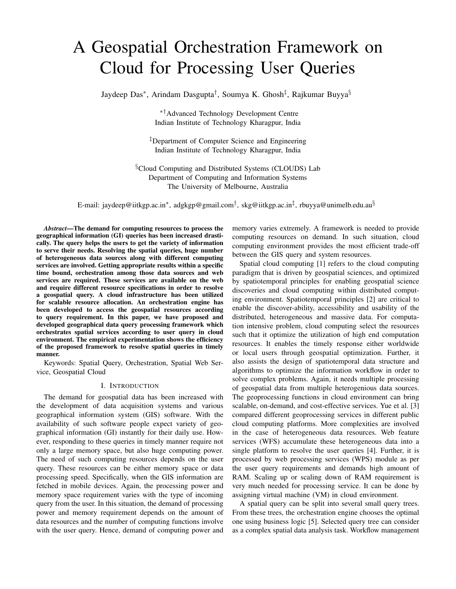# A Geospatial Orchestration Framework on Cloud for Processing User Queries

Jaydeep Das\*, Arindam Dasgupta<sup>†</sup>, Soumya K. Ghosh<sup>‡</sup>, Rajkumar Buyya<sup>§</sup>

∗†Advanced Technology Development Centre Indian Institute of Technology Kharagpur, India

‡Department of Computer Science and Engineering Indian Institute of Technology Kharagpur, India

<sup>§</sup>Cloud Computing and Distributed Systems (CLOUDS) Lab Department of Computing and Information Systems The University of Melbourne, Australia

E-mail: jaydeep@iitkgp.ac.in\*, adgkgp@gmail.com<sup>†</sup>, skg@iitkgp.ac.in<sup>‡</sup>, rbuyya@unimelb.edu.au<sup>§</sup>

*Abstract*—The demand for computing resources to process the geographical information (GI) queries has been increased drastically. The query helps the users to get the variety of information to serve their needs. Resolving the spatial queries, huge number of heterogeneous data sources along with different computing services are involved. Getting appropriate results within a specific time bound, orchestration among those data sources and web services are required. These services are available on the web and require different resource specifications in order to resolve a geospatial query. A cloud infrastructure has been utilized for scalable resource allocation. An orchestration engine has been developed to access the geospatial resources according to query requirement. In this paper, we have proposed and developed geographical data query processing framework which orchestrates spatial services according to user query in cloud environment. The empirical experimentation shows the efficiency of the proposed framework to resolve spatial queries in timely manner.

Keywords: Spatial Query, Orchestration, Spatial Web Service, Geospatial Cloud

# I. INTRODUCTION

The demand for geospatial data has been increased with the development of data acquisition systems and various geographical information system (GIS) software. With the availability of such software people expect variety of geographical information (GI) instantly for their daily use. However, responding to these queries in timely manner require not only a large memory space, but also huge computing power. The need of such computing resources depends on the user query. These resources can be either memory space or data processing speed. Specifically, when the GIS information are fetched in mobile devices. Again, the processing power and memory space requirement varies with the type of incoming query from the user. In this situation, the demand of processing power and memory requirement depends on the amount of data resources and the number of computing functions involve with the user query. Hence, demand of computing power and

memory varies extremely. A framework is needed to provide computing resources on demand. In such situation, cloud computing environment provides the most efficient trade-off between the GIS query and system resources.

Spatial cloud computing [1] refers to the cloud computing paradigm that is driven by geospatial sciences, and optimized by spatiotemporal principles for enabling geospatial science discoveries and cloud computing within distributed computing environment. Spatiotemporal principles [2] are critical to enable the discover-ability, accessibility and usability of the distributed, heterogeneous and massive data. For computation intensive problem, cloud computing select the resources such that it optimize the utilization of high end computation resources. It enables the timely response either worldwide or local users through geospatial optimization. Further, it also assists the design of spatiotemporal data structure and algorithms to optimize the information workflow in order to solve complex problems. Again, it needs multiple processing of geospatial data from multiple heterogenious data sources. The geoprocessing functions in cloud environment can bring scalable, on-demand, and cost-effective services. Yue et al. [3] compared different geoprocessing services in different public cloud computing platforms. More complexities are involved in the case of heterogeneous data resources. Web feature services (WFS) accumulate these heterogeneous data into a single platform to resolve the user queries [4]. Further, it is processed by web processing services (WPS) module as per the user query requirements and demands high amount of RAM. Scaling up or scaling down of RAM requirement is very much needed for processing service. It can be done by assigning virtual machine (VM) in cloud environment.

A spatial query can be split into several small query trees. From these trees, the orchestration engine chooses the optimal one using business logic [5]. Selected query tree can consider as a complex spatial data analysis task. Workflow management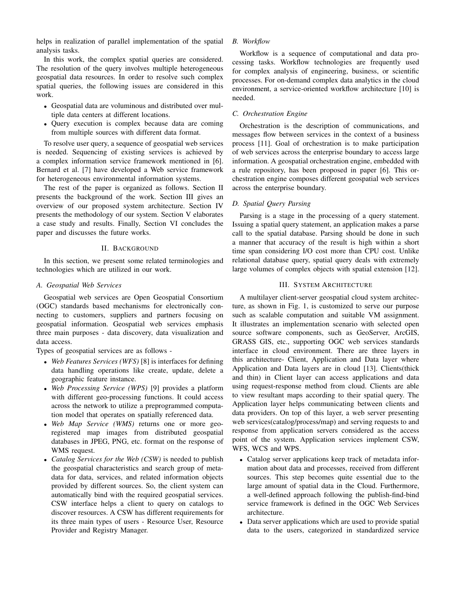helps in realization of parallel implementation of the spatial analysis tasks.

In this work, the complex spatial queries are considered. The resolution of the query involves multiple heterogeneous geospatial data resources. In order to resolve such complex spatial queries, the following issues are considered in this work.

- Geospatial data are voluminous and distributed over multiple data centers at different locations.
- Query execution is complex because data are coming from multiple sources with different data format.

To resolve user query, a sequence of geospatial web services is needed. Sequencing of existing services is achieved by a complex information service framework mentioned in [6]. Bernard et al. [7] have developed a Web service framework for heterogeneous environmental information systems.

The rest of the paper is organized as follows. Section II presents the background of the work. Section III gives an overview of our proposed system architecture. Section IV presents the methodology of our system. Section V elaborates a case study and results. Finally, Section VI concludes the paper and discusses the future works.

#### II. BACKGROUND

In this section, we present some related terminologies and technologies which are utilized in our work.

#### *A. Geospatial Web Services*

Geospatial web services are Open Geospatial Consortium (OGC) standards based mechanisms for electronically connecting to customers, suppliers and partners focusing on geospatial information. Geospatial web services emphasis three main purposes - data discovery, data visualization and data access.

Types of geospatial services are as follows -

- *Web Features Services (WFS)* [8] is interfaces for defining data handling operations like create, update, delete a geographic feature instance.
- *Web Processing Service (WPS)* [9] provides a platform with different geo-processing functions. It could access across the network to utilize a preprogrammed computation model that operates on spatially referenced data.
- *Web Map Service (WMS)* returns one or more georegistered map images from distributed geospatial databases in JPEG, PNG, etc. format on the response of WMS request.
- *Catalog Services for the Web (CSW)* is needed to publish the geospatial characteristics and search group of metadata for data, services, and related information objects provided by different sources. So, the client system can automatically bind with the required geospatial services. CSW interface helps a client to query on catalogs to discover resources. A CSW has different requirements for its three main types of users - Resource User, Resource Provider and Registry Manager.

# *B. Workflow*

Workflow is a sequence of computational and data processing tasks. Workflow technologies are frequently used for complex analysis of engineering, business, or scientific processes. For on-demand complex data analytics in the cloud environment, a service-oriented workflow architecture [10] is needed.

# *C. Orchestration Engine*

Orchestration is the description of communications, and messages flow between services in the context of a business process [11]. Goal of orchestration is to make participation of web services across the enterprise boundary to access large information. A geospatial orchestration engine, embedded with a rule repository, has been proposed in paper [6]. This orchestration engine composes different geospatial web services across the enterprise boundary.

# *D. Spatial Query Parsing*

Parsing is a stage in the processing of a query statement. Issuing a spatial query statement, an application makes a parse call to the spatial database. Parsing should be done in such a manner that accuracy of the result is high within a short time span considering I/O cost more than CPU cost. Unlike relational database query, spatial query deals with extremely large volumes of complex objects with spatial extension [12].

# III. SYSTEM ARCHITECTURE

A multilayer client-server geospatial cloud system architecture, as shown in Fig. 1, is customized to serve our purpose such as scalable computation and suitable VM assignment. It illustrates an implementation scenario with selected open source software components, such as GeoServer, ArcGIS, GRASS GIS, etc., supporting OGC web services standards interface in cloud environment. There are three layers in this architecture- Client, Application and Data layer where Application and Data layers are in cloud [13]. Clients(thick and thin) in Client layer can access applications and data using request-response method from cloud. Clients are able to view resultant maps according to their spatial query. The Application layer helps communicating between clients and data providers. On top of this layer, a web server presenting web services(catalog/process/map) and serving requests to and response from application servers considered as the access point of the system. Application services implement CSW, WFS, WCS and WPS.

- Catalog server applications keep track of metadata information about data and processes, received from different sources. This step becomes quite essential due to the large amount of spatial data in the Cloud. Furthermore, a well-defined approach following the publish-find-bind service framework is defined in the OGC Web Services architecture.
- Data server applications which are used to provide spatial data to the users, categorized in standardized service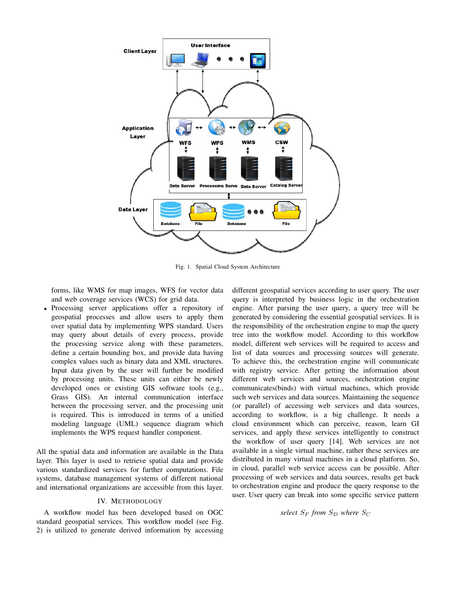

Fig. 1. Spatial Cloud System Architecture

forms, like WMS for map images, WFS for vector data and web coverage services (WCS) for grid data.

• Processing server applications offer a repository of geospatial processes and allow users to apply them over spatial data by implementing WPS standard. Users may query about details of every process, provide the processing service along with these parameters, define a certain bounding box, and provide data having complex values such as binary data and XML structures. Input data given by the user will further be modified by processing units. These units can either be newly developed ones or existing GIS software tools (e.g., Grass GIS). An internal communication interface between the processing server, and the processing unit is required. This is introduced in terms of a unified modeling language (UML) sequence diagram which implements the WPS request handler component.

All the spatial data and information are available in the Data layer. This layer is used to retrieve spatial data and provide various standardized services for further computations. File systems, database management systems of different national and international organizations are accessible from this layer.

#### IV. METHODOLOGY

A workflow model has been developed based on OGC standard geospatial services. This workflow model (see Fig. 2) is utilized to generate derived information by accessing different geospatial services according to user query. The user query is interpreted by business logic in the orchestration engine. After parsing the user query, a query tree will be generated by considering the essential geospatial services. It is the responsibility of the orchestration engine to map the query tree into the workflow model. According to this workflow model, different web services will be required to access and list of data sources and processing sources will generate. To achieve this, the orchestration engine will communicate with registry service. After getting the information about different web services and sources, orchestration engine communicates(binds) with virtual machines, which provide such web services and data sources. Maintaining the sequence (or parallel) of accessing web services and data sources, according to workflow, is a big challenge. It needs a cloud environment which can perceive, reason, learn GI services, and apply these services intelligently to construct the workflow of user query [14]. Web services are not available in a single virtual machine, rather these services are distributed in many virtual machines in a cloud platform. So, in cloud, parallel web service access can be possible. After processing of web services and data sources, results get back to orchestration engine and produce the query response to the user. User query can break into some specific service pattern

*select*  $S_F$  *from*  $S_D$  *where*  $S_C$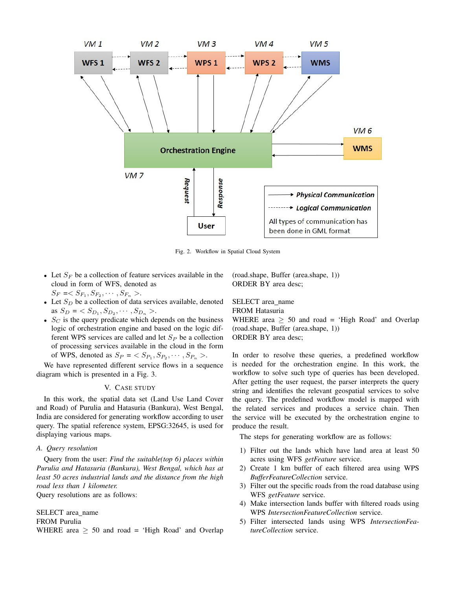

Fig. 2. Workflow in Spatial Cloud System

• Let  $S_F$  be a collection of feature services available in the cloud in form of WFS, denoted as

 $S_F =$ 

- Let  $S_D$  be a collection of data services available, denoted as  $S_D = \langle S_{D_1}, S_{D_2}, \cdots, S_{D_n} \rangle$ .
- $S_C$  is the query predicate which depends on the business logic of orchestration engine and based on the logic different WPS services are called and let  $S_P$  be a collection of processing services available in the cloud in the form of WPS, denoted as  $S_P = \langle S_{P_1}, S_{P_2}, \cdots, S_{P_n} \rangle$ .

We have represented different service flows in a sequence diagram which is presented in a Fig. 3.

# V. CASE STUDY

In this work, the spatial data set (Land Use Land Cover and Road) of Purulia and Hatasuria (Bankura), West Bengal, India are considered for generating workflow according to user query. The spatial reference system, EPSG:32645, is used for displaying various maps.

#### *A. Query resolution*

Query from the user: *Find the suitable(top 6) places within Purulia and Hatasuria (Bankura), West Bengal, which has at least 50 acres industrial lands and the distance from the high road less than 1 kilometer.*

Query resolutions are as follows:

SELECT area name FROM Purulia WHERE area  $\geq 50$  and road = 'High Road' and Overlap (road.shape, Buffer (area.shape, 1)) ORDER BY area desc;

SELECT area name FROM Hatasuria WHERE area  $\geq 50$  and road = 'High Road' and Overlap (road.shape, Buffer (area.shape, 1)) ORDER BY area desc;

In order to resolve these queries, a predefined workflow is needed for the orchestration engine. In this work, the workflow to solve such type of queries has been developed. After getting the user request, the parser interprets the query string and identifies the relevant geospatial services to solve the query. The predefined workflow model is mapped with the related services and produces a service chain. Then the service will be executed by the orchestration engine to produce the result.

The steps for generating workflow are as follows:

- 1) Filter out the lands which have land area at least 50 acres using WFS *getFeature* service.
- 2) Create 1 km buffer of each filtered area using WPS *BufferFeatureCollection* service.
- 3) Filter out the specific roads from the road database using WFS *getFeature* service.
- 4) Make intersection lands buffer with filtered roads using WPS *IntersectionFeatureCollection* service.
- 5) Filter intersected lands using WPS *IntersectionFeatureCollection* service.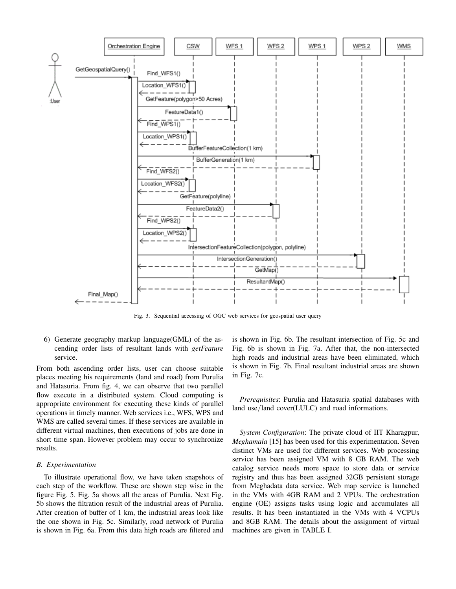

Fig. 3. Sequential accessing of OGC web services for geospatial user query

6) Generate geography markup language(GML) of the ascending order lists of resultant lands with *getFeature* service.

From both ascending order lists, user can choose suitable places meeting his requirements (land and road) from Purulia and Hatasuria. From fig. 4, we can observe that two parallel flow execute in a distributed system. Cloud computing is appropriate environment for executing these kinds of parallel operations in timely manner. Web services i.e., WFS, WPS and WMS are called several times. If these services are available in different virtual machines, then executions of jobs are done in short time span. However problem may occur to synchronize results.

#### *B. Experimentation*

To illustrate operational flow, we have taken snapshots of each step of the workflow. These are shown step wise in the figure Fig. 5. Fig. 5a shows all the areas of Purulia. Next Fig. 5b shows the filtration result of the industrial areas of Purulia. After creation of buffer of 1 km, the industrial areas look like the one shown in Fig. 5c. Similarly, road network of Purulia is shown in Fig. 6a. From this data high roads are filtered and

is shown in Fig. 6b. The resultant intersection of Fig. 5c and Fig. 6b is shown in Fig. 7a. After that, the non-intersected high roads and industrial areas have been eliminated, which is shown in Fig. 7b. Final resultant industrial areas are shown in Fig. 7c.

*Prerequisites*: Purulia and Hatasuria spatial databases with land use/land cover(LULC) and road informations.

*System Configuration*: The private cloud of IIT Kharagpur, *Meghamala* [15] has been used for this experimentation. Seven distinct VMs are used for different services. Web processing service has been assigned VM with 8 GB RAM. The web catalog service needs more space to store data or service registry and thus has been assigned 32GB persistent storage from Meghadata data service. Web map service is launched in the VMs with 4GB RAM and 2 VPUs. The orchestration engine (OE) assigns tasks using logic and accumulates all results. It has been instantiated in the VMs with 4 VCPUs and 8GB RAM. The details about the assignment of virtual machines are given in TABLE I.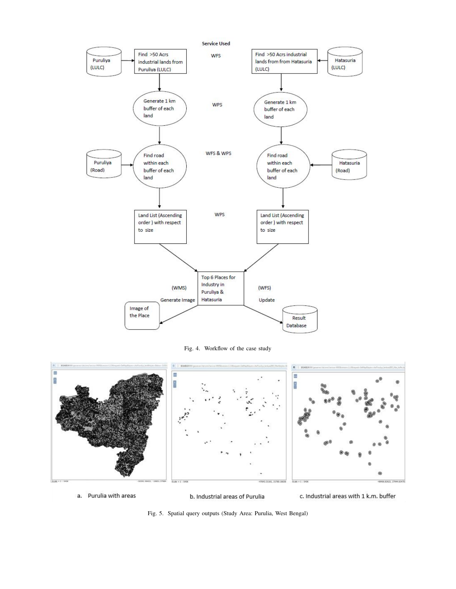

Fig. 4. Workflow of the case study



a. Purulia with areas

b. Industrial areas of Purulia

c. Industrial areas with 1 k.m. buffer

Fig. 5. Spatial query outputs (Study Area: Purulia, West Bengal)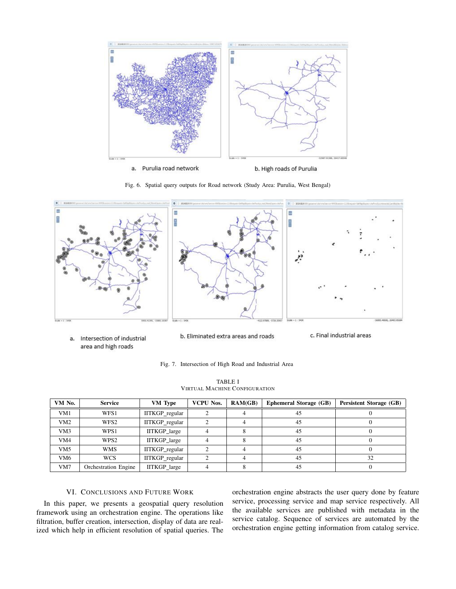

a. Purulia road network

b. High roads of Purulia

Fig. 6. Spatial query outputs for Road network (Study Area: Purulia, West Bengal)



a. Intersection of industrial area and high roads

b. Eliminated extra areas and roads

c. Final industrial areas

Fig. 7. Intersection of High Road and Industrial Area

| VM No.          | <b>Service</b>              | <b>VM</b> Type | <b>VCPU Nos.</b> | RAM(GB) | <b>Ephemeral Storage (GB)</b> | Persistent Storage (GB) |
|-----------------|-----------------------------|----------------|------------------|---------|-------------------------------|-------------------------|
| VM1             | WFS1                        | IITKGP_regular |                  |         | 45                            |                         |
| VM2             | WFS2                        | IITKGP_regular |                  |         | 45                            |                         |
| VM3             | WPS1                        | IITKGP_large   | 4                |         | 45                            |                         |
| VM4             | WPS2                        | IITKGP_large   | $\overline{4}$   |         | 45                            |                         |
| VM <sub>5</sub> | <b>WMS</b>                  | IITKGP_regular |                  |         | 45                            |                         |
| VM <sub>6</sub> | <b>WCS</b>                  | IITKGP_regular |                  |         | 45                            | 32                      |
| VM7             | <b>Orchestration Engine</b> | IITKGP_large   |                  |         | 45                            |                         |

TABLE I VIRTUAL MACHINE CONFIGURATION

# VI. CONCLUSIONS AND FUTURE WORK

In this paper, we presents a geospatial query resolution framework using an orchestration engine. The operations like filtration, buffer creation, intersection, display of data are realized which help in efficient resolution of spatial queries. The

orchestration engine abstracts the user query done by feature service, processing service and map service respectively. All the available services are published with metadata in the service catalog. Sequence of services are automated by the orchestration engine getting information from catalog service.